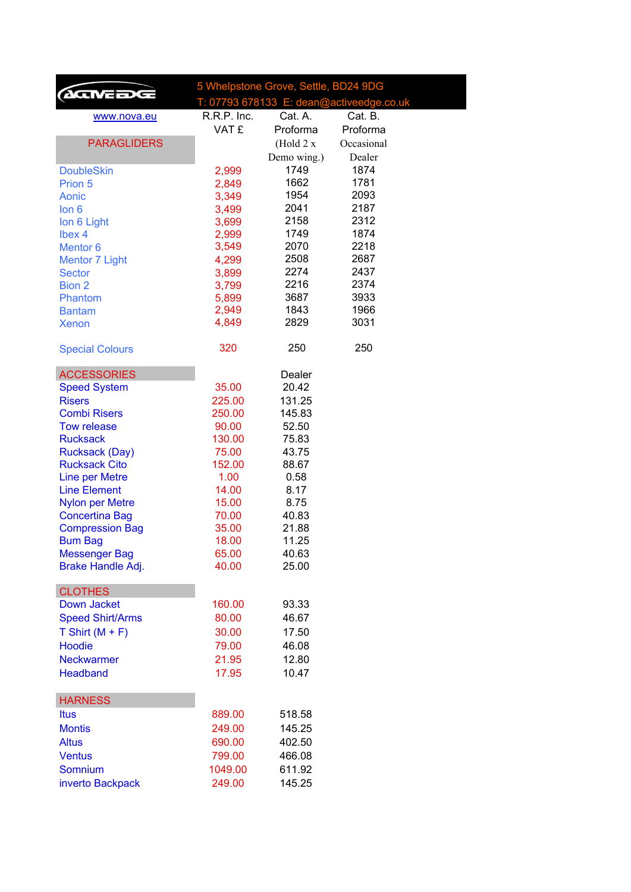| T: 07793 678133 E: dean@activeedge.co.uk<br>R.R.P. Inc.<br>Cat. A.<br>Cat. B.<br>www.nova.eu<br>VAT £<br>Proforma<br>Proforma<br><b>PARAGLIDERS</b><br>Occasional<br>(Hold 2 x)<br>Dealer<br>Demo wing.)<br>1749<br>1874<br><b>DoubleSkin</b><br>2,999<br>1662<br>1781<br>Prion 5<br>2,849<br>1954<br>2093<br>Aonic<br>3,349<br>2041<br>2187<br>lon <sub>6</sub><br>3,499<br>2158<br>2312<br>Ion 6 Light<br>3,699<br>1749<br>1874<br>Ibex 4<br>2,999<br>2218<br>3,549<br>2070<br><b>Mentor 6</b><br>2508<br>2687<br>4,299<br><b>Mentor 7 Light</b><br>2274<br>2437<br>3,899<br><b>Sector</b><br>2216<br>2374<br><b>Bion 2</b><br>3,799<br>3687<br>3933<br>Phantom<br>5,899<br>2,949<br>1843<br>1966<br><b>Bantam</b><br>4,849<br>3031<br>2829<br><b>Xenon</b><br>320<br>250<br>250<br><b>Special Colours</b><br><b>ACCESSORIES</b><br>Dealer<br>35.00<br>20.42<br><b>Speed System</b><br>131.25<br><b>Risers</b><br>225.00<br><b>Combi Risers</b><br>250.00<br>145.83<br>52.50<br><b>Tow release</b><br>90.00<br><b>Rucksack</b><br>130.00<br>75.83<br><b>Rucksack (Day)</b><br>43.75<br>75.00<br><b>Rucksack Cito</b><br>152.00<br>88.67<br><b>Line per Metre</b><br>1.00<br>0.58<br><b>Line Element</b><br>14.00<br>8.17<br>15.00<br>8.75<br><b>Nylon per Metre</b><br>70.00<br>40.83<br><b>Concertina Bag</b><br><b>Compression Bag</b><br>35.00<br>21.88<br>18.00<br>11.25<br><b>Bum Bag</b><br><b>Messenger Bag</b><br>65.00<br>40.63<br>Brake Handle Adj.<br>25.00<br>40.00<br><b>CLOTHES</b><br><b>Down Jacket</b><br>160.00<br>93.33<br><b>Speed Shirt/Arms</b><br>80.00<br>46.67<br>T Shirt $(M + F)$<br>30.00<br>17.50<br>Hoodie<br>79.00<br>46.08<br>12.80<br><b>Neckwarmer</b><br>21.95<br>10.47<br><b>Headband</b><br>17.95<br><b>HARNESS</b><br>889.00<br>518.58<br><b>Itus</b><br><b>Montis</b><br>249.00<br>145.25<br><b>Altus</b><br>690.00<br>402.50<br><b>Ventus</b><br>799.00<br>466.08<br>Somnium<br>611.92<br>1049.00<br>249.00<br>145.25<br>inverto Backpack | AGINEEDGE | 5 Whelpstone Grove, Settle, BD24 9DG |  |  |
|-------------------------------------------------------------------------------------------------------------------------------------------------------------------------------------------------------------------------------------------------------------------------------------------------------------------------------------------------------------------------------------------------------------------------------------------------------------------------------------------------------------------------------------------------------------------------------------------------------------------------------------------------------------------------------------------------------------------------------------------------------------------------------------------------------------------------------------------------------------------------------------------------------------------------------------------------------------------------------------------------------------------------------------------------------------------------------------------------------------------------------------------------------------------------------------------------------------------------------------------------------------------------------------------------------------------------------------------------------------------------------------------------------------------------------------------------------------------------------------------------------------------------------------------------------------------------------------------------------------------------------------------------------------------------------------------------------------------------------------------------------------------------------------------------------------------------------------------------------------------------------------------------------------------------------------------------------------------------------------|-----------|--------------------------------------|--|--|
|                                                                                                                                                                                                                                                                                                                                                                                                                                                                                                                                                                                                                                                                                                                                                                                                                                                                                                                                                                                                                                                                                                                                                                                                                                                                                                                                                                                                                                                                                                                                                                                                                                                                                                                                                                                                                                                                                                                                                                                     |           |                                      |  |  |
|                                                                                                                                                                                                                                                                                                                                                                                                                                                                                                                                                                                                                                                                                                                                                                                                                                                                                                                                                                                                                                                                                                                                                                                                                                                                                                                                                                                                                                                                                                                                                                                                                                                                                                                                                                                                                                                                                                                                                                                     |           |                                      |  |  |
|                                                                                                                                                                                                                                                                                                                                                                                                                                                                                                                                                                                                                                                                                                                                                                                                                                                                                                                                                                                                                                                                                                                                                                                                                                                                                                                                                                                                                                                                                                                                                                                                                                                                                                                                                                                                                                                                                                                                                                                     |           |                                      |  |  |
|                                                                                                                                                                                                                                                                                                                                                                                                                                                                                                                                                                                                                                                                                                                                                                                                                                                                                                                                                                                                                                                                                                                                                                                                                                                                                                                                                                                                                                                                                                                                                                                                                                                                                                                                                                                                                                                                                                                                                                                     |           |                                      |  |  |
|                                                                                                                                                                                                                                                                                                                                                                                                                                                                                                                                                                                                                                                                                                                                                                                                                                                                                                                                                                                                                                                                                                                                                                                                                                                                                                                                                                                                                                                                                                                                                                                                                                                                                                                                                                                                                                                                                                                                                                                     |           |                                      |  |  |
|                                                                                                                                                                                                                                                                                                                                                                                                                                                                                                                                                                                                                                                                                                                                                                                                                                                                                                                                                                                                                                                                                                                                                                                                                                                                                                                                                                                                                                                                                                                                                                                                                                                                                                                                                                                                                                                                                                                                                                                     |           |                                      |  |  |
|                                                                                                                                                                                                                                                                                                                                                                                                                                                                                                                                                                                                                                                                                                                                                                                                                                                                                                                                                                                                                                                                                                                                                                                                                                                                                                                                                                                                                                                                                                                                                                                                                                                                                                                                                                                                                                                                                                                                                                                     |           |                                      |  |  |
|                                                                                                                                                                                                                                                                                                                                                                                                                                                                                                                                                                                                                                                                                                                                                                                                                                                                                                                                                                                                                                                                                                                                                                                                                                                                                                                                                                                                                                                                                                                                                                                                                                                                                                                                                                                                                                                                                                                                                                                     |           |                                      |  |  |
|                                                                                                                                                                                                                                                                                                                                                                                                                                                                                                                                                                                                                                                                                                                                                                                                                                                                                                                                                                                                                                                                                                                                                                                                                                                                                                                                                                                                                                                                                                                                                                                                                                                                                                                                                                                                                                                                                                                                                                                     |           |                                      |  |  |
|                                                                                                                                                                                                                                                                                                                                                                                                                                                                                                                                                                                                                                                                                                                                                                                                                                                                                                                                                                                                                                                                                                                                                                                                                                                                                                                                                                                                                                                                                                                                                                                                                                                                                                                                                                                                                                                                                                                                                                                     |           |                                      |  |  |
|                                                                                                                                                                                                                                                                                                                                                                                                                                                                                                                                                                                                                                                                                                                                                                                                                                                                                                                                                                                                                                                                                                                                                                                                                                                                                                                                                                                                                                                                                                                                                                                                                                                                                                                                                                                                                                                                                                                                                                                     |           |                                      |  |  |
|                                                                                                                                                                                                                                                                                                                                                                                                                                                                                                                                                                                                                                                                                                                                                                                                                                                                                                                                                                                                                                                                                                                                                                                                                                                                                                                                                                                                                                                                                                                                                                                                                                                                                                                                                                                                                                                                                                                                                                                     |           |                                      |  |  |
|                                                                                                                                                                                                                                                                                                                                                                                                                                                                                                                                                                                                                                                                                                                                                                                                                                                                                                                                                                                                                                                                                                                                                                                                                                                                                                                                                                                                                                                                                                                                                                                                                                                                                                                                                                                                                                                                                                                                                                                     |           |                                      |  |  |
|                                                                                                                                                                                                                                                                                                                                                                                                                                                                                                                                                                                                                                                                                                                                                                                                                                                                                                                                                                                                                                                                                                                                                                                                                                                                                                                                                                                                                                                                                                                                                                                                                                                                                                                                                                                                                                                                                                                                                                                     |           |                                      |  |  |
|                                                                                                                                                                                                                                                                                                                                                                                                                                                                                                                                                                                                                                                                                                                                                                                                                                                                                                                                                                                                                                                                                                                                                                                                                                                                                                                                                                                                                                                                                                                                                                                                                                                                                                                                                                                                                                                                                                                                                                                     |           |                                      |  |  |
|                                                                                                                                                                                                                                                                                                                                                                                                                                                                                                                                                                                                                                                                                                                                                                                                                                                                                                                                                                                                                                                                                                                                                                                                                                                                                                                                                                                                                                                                                                                                                                                                                                                                                                                                                                                                                                                                                                                                                                                     |           |                                      |  |  |
|                                                                                                                                                                                                                                                                                                                                                                                                                                                                                                                                                                                                                                                                                                                                                                                                                                                                                                                                                                                                                                                                                                                                                                                                                                                                                                                                                                                                                                                                                                                                                                                                                                                                                                                                                                                                                                                                                                                                                                                     |           |                                      |  |  |
|                                                                                                                                                                                                                                                                                                                                                                                                                                                                                                                                                                                                                                                                                                                                                                                                                                                                                                                                                                                                                                                                                                                                                                                                                                                                                                                                                                                                                                                                                                                                                                                                                                                                                                                                                                                                                                                                                                                                                                                     |           |                                      |  |  |
|                                                                                                                                                                                                                                                                                                                                                                                                                                                                                                                                                                                                                                                                                                                                                                                                                                                                                                                                                                                                                                                                                                                                                                                                                                                                                                                                                                                                                                                                                                                                                                                                                                                                                                                                                                                                                                                                                                                                                                                     |           |                                      |  |  |
|                                                                                                                                                                                                                                                                                                                                                                                                                                                                                                                                                                                                                                                                                                                                                                                                                                                                                                                                                                                                                                                                                                                                                                                                                                                                                                                                                                                                                                                                                                                                                                                                                                                                                                                                                                                                                                                                                                                                                                                     |           |                                      |  |  |
|                                                                                                                                                                                                                                                                                                                                                                                                                                                                                                                                                                                                                                                                                                                                                                                                                                                                                                                                                                                                                                                                                                                                                                                                                                                                                                                                                                                                                                                                                                                                                                                                                                                                                                                                                                                                                                                                                                                                                                                     |           |                                      |  |  |
|                                                                                                                                                                                                                                                                                                                                                                                                                                                                                                                                                                                                                                                                                                                                                                                                                                                                                                                                                                                                                                                                                                                                                                                                                                                                                                                                                                                                                                                                                                                                                                                                                                                                                                                                                                                                                                                                                                                                                                                     |           |                                      |  |  |
|                                                                                                                                                                                                                                                                                                                                                                                                                                                                                                                                                                                                                                                                                                                                                                                                                                                                                                                                                                                                                                                                                                                                                                                                                                                                                                                                                                                                                                                                                                                                                                                                                                                                                                                                                                                                                                                                                                                                                                                     |           |                                      |  |  |
|                                                                                                                                                                                                                                                                                                                                                                                                                                                                                                                                                                                                                                                                                                                                                                                                                                                                                                                                                                                                                                                                                                                                                                                                                                                                                                                                                                                                                                                                                                                                                                                                                                                                                                                                                                                                                                                                                                                                                                                     |           |                                      |  |  |
|                                                                                                                                                                                                                                                                                                                                                                                                                                                                                                                                                                                                                                                                                                                                                                                                                                                                                                                                                                                                                                                                                                                                                                                                                                                                                                                                                                                                                                                                                                                                                                                                                                                                                                                                                                                                                                                                                                                                                                                     |           |                                      |  |  |
|                                                                                                                                                                                                                                                                                                                                                                                                                                                                                                                                                                                                                                                                                                                                                                                                                                                                                                                                                                                                                                                                                                                                                                                                                                                                                                                                                                                                                                                                                                                                                                                                                                                                                                                                                                                                                                                                                                                                                                                     |           |                                      |  |  |
|                                                                                                                                                                                                                                                                                                                                                                                                                                                                                                                                                                                                                                                                                                                                                                                                                                                                                                                                                                                                                                                                                                                                                                                                                                                                                                                                                                                                                                                                                                                                                                                                                                                                                                                                                                                                                                                                                                                                                                                     |           |                                      |  |  |
|                                                                                                                                                                                                                                                                                                                                                                                                                                                                                                                                                                                                                                                                                                                                                                                                                                                                                                                                                                                                                                                                                                                                                                                                                                                                                                                                                                                                                                                                                                                                                                                                                                                                                                                                                                                                                                                                                                                                                                                     |           |                                      |  |  |
|                                                                                                                                                                                                                                                                                                                                                                                                                                                                                                                                                                                                                                                                                                                                                                                                                                                                                                                                                                                                                                                                                                                                                                                                                                                                                                                                                                                                                                                                                                                                                                                                                                                                                                                                                                                                                                                                                                                                                                                     |           |                                      |  |  |
|                                                                                                                                                                                                                                                                                                                                                                                                                                                                                                                                                                                                                                                                                                                                                                                                                                                                                                                                                                                                                                                                                                                                                                                                                                                                                                                                                                                                                                                                                                                                                                                                                                                                                                                                                                                                                                                                                                                                                                                     |           |                                      |  |  |
|                                                                                                                                                                                                                                                                                                                                                                                                                                                                                                                                                                                                                                                                                                                                                                                                                                                                                                                                                                                                                                                                                                                                                                                                                                                                                                                                                                                                                                                                                                                                                                                                                                                                                                                                                                                                                                                                                                                                                                                     |           |                                      |  |  |
|                                                                                                                                                                                                                                                                                                                                                                                                                                                                                                                                                                                                                                                                                                                                                                                                                                                                                                                                                                                                                                                                                                                                                                                                                                                                                                                                                                                                                                                                                                                                                                                                                                                                                                                                                                                                                                                                                                                                                                                     |           |                                      |  |  |
|                                                                                                                                                                                                                                                                                                                                                                                                                                                                                                                                                                                                                                                                                                                                                                                                                                                                                                                                                                                                                                                                                                                                                                                                                                                                                                                                                                                                                                                                                                                                                                                                                                                                                                                                                                                                                                                                                                                                                                                     |           |                                      |  |  |
|                                                                                                                                                                                                                                                                                                                                                                                                                                                                                                                                                                                                                                                                                                                                                                                                                                                                                                                                                                                                                                                                                                                                                                                                                                                                                                                                                                                                                                                                                                                                                                                                                                                                                                                                                                                                                                                                                                                                                                                     |           |                                      |  |  |
|                                                                                                                                                                                                                                                                                                                                                                                                                                                                                                                                                                                                                                                                                                                                                                                                                                                                                                                                                                                                                                                                                                                                                                                                                                                                                                                                                                                                                                                                                                                                                                                                                                                                                                                                                                                                                                                                                                                                                                                     |           |                                      |  |  |
|                                                                                                                                                                                                                                                                                                                                                                                                                                                                                                                                                                                                                                                                                                                                                                                                                                                                                                                                                                                                                                                                                                                                                                                                                                                                                                                                                                                                                                                                                                                                                                                                                                                                                                                                                                                                                                                                                                                                                                                     |           |                                      |  |  |
|                                                                                                                                                                                                                                                                                                                                                                                                                                                                                                                                                                                                                                                                                                                                                                                                                                                                                                                                                                                                                                                                                                                                                                                                                                                                                                                                                                                                                                                                                                                                                                                                                                                                                                                                                                                                                                                                                                                                                                                     |           |                                      |  |  |
|                                                                                                                                                                                                                                                                                                                                                                                                                                                                                                                                                                                                                                                                                                                                                                                                                                                                                                                                                                                                                                                                                                                                                                                                                                                                                                                                                                                                                                                                                                                                                                                                                                                                                                                                                                                                                                                                                                                                                                                     |           |                                      |  |  |
|                                                                                                                                                                                                                                                                                                                                                                                                                                                                                                                                                                                                                                                                                                                                                                                                                                                                                                                                                                                                                                                                                                                                                                                                                                                                                                                                                                                                                                                                                                                                                                                                                                                                                                                                                                                                                                                                                                                                                                                     |           |                                      |  |  |
|                                                                                                                                                                                                                                                                                                                                                                                                                                                                                                                                                                                                                                                                                                                                                                                                                                                                                                                                                                                                                                                                                                                                                                                                                                                                                                                                                                                                                                                                                                                                                                                                                                                                                                                                                                                                                                                                                                                                                                                     |           |                                      |  |  |
|                                                                                                                                                                                                                                                                                                                                                                                                                                                                                                                                                                                                                                                                                                                                                                                                                                                                                                                                                                                                                                                                                                                                                                                                                                                                                                                                                                                                                                                                                                                                                                                                                                                                                                                                                                                                                                                                                                                                                                                     |           |                                      |  |  |
|                                                                                                                                                                                                                                                                                                                                                                                                                                                                                                                                                                                                                                                                                                                                                                                                                                                                                                                                                                                                                                                                                                                                                                                                                                                                                                                                                                                                                                                                                                                                                                                                                                                                                                                                                                                                                                                                                                                                                                                     |           |                                      |  |  |
|                                                                                                                                                                                                                                                                                                                                                                                                                                                                                                                                                                                                                                                                                                                                                                                                                                                                                                                                                                                                                                                                                                                                                                                                                                                                                                                                                                                                                                                                                                                                                                                                                                                                                                                                                                                                                                                                                                                                                                                     |           |                                      |  |  |
|                                                                                                                                                                                                                                                                                                                                                                                                                                                                                                                                                                                                                                                                                                                                                                                                                                                                                                                                                                                                                                                                                                                                                                                                                                                                                                                                                                                                                                                                                                                                                                                                                                                                                                                                                                                                                                                                                                                                                                                     |           |                                      |  |  |
|                                                                                                                                                                                                                                                                                                                                                                                                                                                                                                                                                                                                                                                                                                                                                                                                                                                                                                                                                                                                                                                                                                                                                                                                                                                                                                                                                                                                                                                                                                                                                                                                                                                                                                                                                                                                                                                                                                                                                                                     |           |                                      |  |  |
|                                                                                                                                                                                                                                                                                                                                                                                                                                                                                                                                                                                                                                                                                                                                                                                                                                                                                                                                                                                                                                                                                                                                                                                                                                                                                                                                                                                                                                                                                                                                                                                                                                                                                                                                                                                                                                                                                                                                                                                     |           |                                      |  |  |
|                                                                                                                                                                                                                                                                                                                                                                                                                                                                                                                                                                                                                                                                                                                                                                                                                                                                                                                                                                                                                                                                                                                                                                                                                                                                                                                                                                                                                                                                                                                                                                                                                                                                                                                                                                                                                                                                                                                                                                                     |           |                                      |  |  |
|                                                                                                                                                                                                                                                                                                                                                                                                                                                                                                                                                                                                                                                                                                                                                                                                                                                                                                                                                                                                                                                                                                                                                                                                                                                                                                                                                                                                                                                                                                                                                                                                                                                                                                                                                                                                                                                                                                                                                                                     |           |                                      |  |  |
|                                                                                                                                                                                                                                                                                                                                                                                                                                                                                                                                                                                                                                                                                                                                                                                                                                                                                                                                                                                                                                                                                                                                                                                                                                                                                                                                                                                                                                                                                                                                                                                                                                                                                                                                                                                                                                                                                                                                                                                     |           |                                      |  |  |